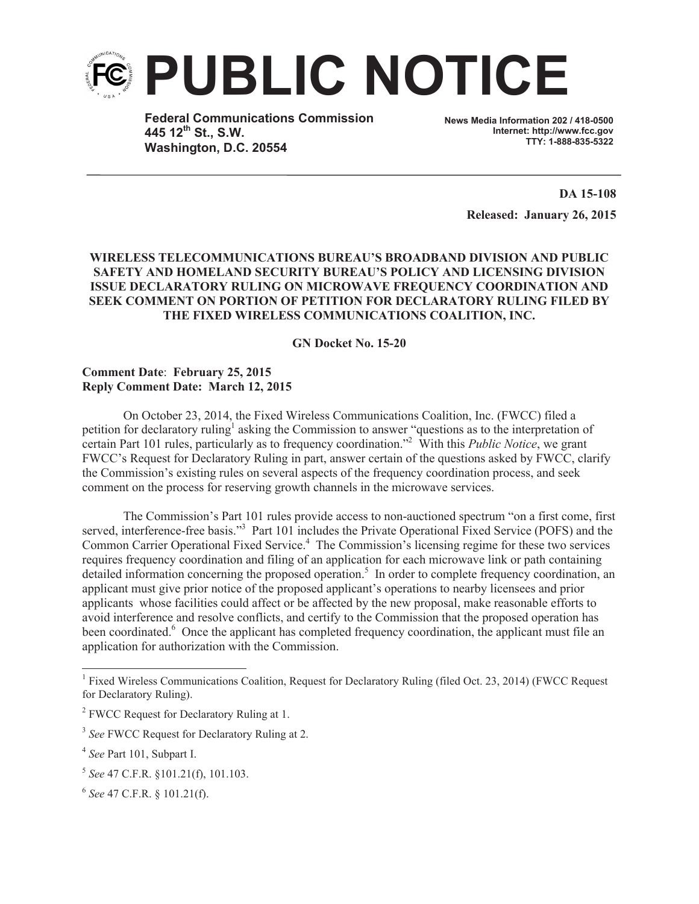

**Federal Communications Commission 445 12th St., S.W. Washington, D.C. 20554**

**News Media Information 202 / 418-0500 Internet: http://www.fcc.gov TTY: 1-888-835-5322**

> **DA 15-108 Released: January 26, 2015**

# **WIRELESS TELECOMMUNICATIONS BUREAU'S BROADBAND DIVISION AND PUBLIC SAFETY AND HOMELAND SECURITY BUREAU'S POLICY AND LICENSING DIVISION ISSUE DECLARATORY RULING ON MICROWAVE FREQUENCY COORDINATION AND SEEK COMMENT ON PORTION OF PETITION FOR DECLARATORY RULING FILED BY THE FIXED WIRELESS COMMUNICATIONS COALITION, INC.**

# **GN Docket No. 15-20**

# **Comment Date**: **February 25, 2015 Reply Comment Date: March 12, 2015**

On October 23, 2014, the Fixed Wireless Communications Coalition, Inc. (FWCC) filed a petition for declaratory ruling<sup>1</sup> asking the Commission to answer "questions as to the interpretation of certain Part 101 rules, particularly as to frequency coordination."<sup>2</sup> With this *Public Notice*, we grant FWCC's Request for Declaratory Ruling in part, answer certain of the questions asked by FWCC, clarify the Commission's existing rules on several aspects of the frequency coordination process, and seek comment on the process for reserving growth channels in the microwave services.

The Commission's Part 101 rules provide access to non-auctioned spectrum "on a first come, first served, interference-free basis."<sup>3</sup> Part 101 includes the Private Operational Fixed Service (POFS) and the Common Carrier Operational Fixed Service.<sup>4</sup> The Commission's licensing regime for these two services requires frequency coordination and filing of an application for each microwave link or path containing detailed information concerning the proposed operation.<sup>5</sup> In order to complete frequency coordination, an applicant must give prior notice of the proposed applicant's operations to nearby licensees and prior applicants whose facilities could affect or be affected by the new proposal, make reasonable efforts to avoid interference and resolve conflicts, and certify to the Commission that the proposed operation has been coordinated.<sup>6</sup> Once the applicant has completed frequency coordination, the applicant must file an application for authorization with the Commission.

<sup>&</sup>lt;sup>1</sup> Fixed Wireless Communications Coalition, Request for Declaratory Ruling (filed Oct. 23, 2014) (FWCC Request for Declaratory Ruling).

<sup>&</sup>lt;sup>2</sup> FWCC Request for Declaratory Ruling at 1.

<sup>&</sup>lt;sup>3</sup> See FWCC Request for Declaratory Ruling at 2.

<sup>4</sup> *See* Part 101, Subpart I.

<sup>5</sup> *See* 47 C.F.R. §101.21(f), 101.103.

<sup>6</sup> *See* 47 C.F.R. § 101.21(f).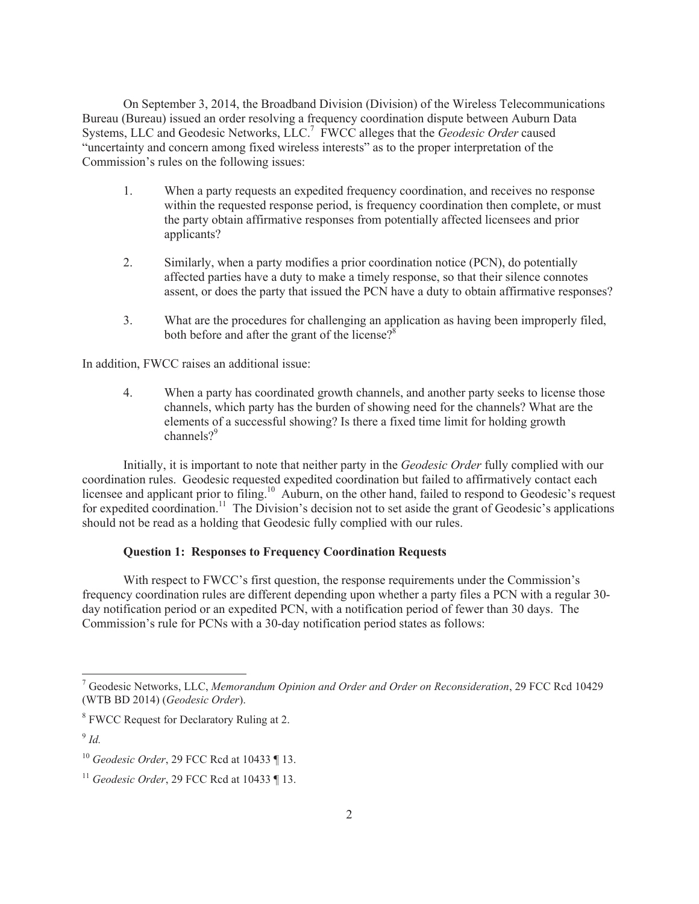On September 3, 2014, the Broadband Division (Division) of the Wireless Telecommunications Bureau (Bureau) issued an order resolving a frequency coordination dispute between Auburn Data Systems, LLC and Geodesic Networks, LLC.<sup>7</sup> FWCC alleges that the *Geodesic Order* caused "uncertainty and concern among fixed wireless interests" as to the proper interpretation of the Commission's rules on the following issues:

- 1. When a party requests an expedited frequency coordination, and receives no response within the requested response period, is frequency coordination then complete, or must the party obtain affirmative responses from potentially affected licensees and prior applicants?
- 2. Similarly, when a party modifies a prior coordination notice (PCN), do potentially affected parties have a duty to make a timely response, so that their silence connotes assent, or does the party that issued the PCN have a duty to obtain affirmative responses?
- 3. What are the procedures for challenging an application as having been improperly filed, both before and after the grant of the license? $8<sup>8</sup>$

In addition, FWCC raises an additional issue:

4. When a party has coordinated growth channels, and another party seeks to license those channels, which party has the burden of showing need for the channels? What are the elements of a successful showing? Is there a fixed time limit for holding growth channels $2^9$ 

Initially, it is important to note that neither party in the *Geodesic Order* fully complied with our coordination rules. Geodesic requested expedited coordination but failed to affirmatively contact each licensee and applicant prior to filing.<sup>10</sup> Auburn, on the other hand, failed to respond to Geodesic's request for expedited coordination.<sup>11</sup> The Division's decision not to set aside the grant of Geodesic's applications should not be read as a holding that Geodesic fully complied with our rules.

#### **Question 1: Responses to Frequency Coordination Requests**

With respect to FWCC's first question, the response requirements under the Commission's frequency coordination rules are different depending upon whether a party files a PCN with a regular 30 day notification period or an expedited PCN, with a notification period of fewer than 30 days. The Commission's rule for PCNs with a 30-day notification period states as follows:

<sup>7</sup> Geodesic Networks, LLC, *Memorandum Opinion and Order and Order on Reconsideration*, 29 FCC Rcd 10429 (WTB BD 2014) (*Geodesic Order*).

<sup>&</sup>lt;sup>8</sup> FWCC Request for Declaratory Ruling at 2.

<sup>9</sup> *Id.*

<sup>10</sup> *Geodesic Order*, 29 FCC Rcd at 10433 ¶ 13.

<sup>11</sup> *Geodesic Order*, 29 FCC Rcd at 10433 ¶ 13.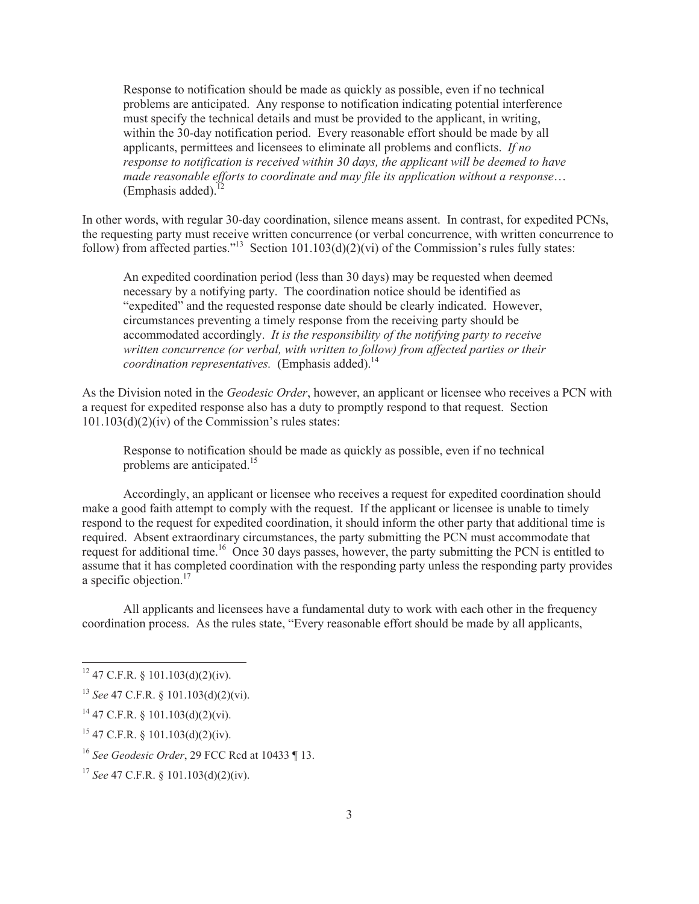Response to notification should be made as quickly as possible, even if no technical problems are anticipated. Any response to notification indicating potential interference must specify the technical details and must be provided to the applicant, in writing, within the 30-day notification period. Every reasonable effort should be made by all applicants, permittees and licensees to eliminate all problems and conflicts. *If no response to notification is received within 30 days, the applicant will be deemed to have made reasonable efforts to coordinate and may file its application without a response*… (Emphasis added).

In other words, with regular 30-day coordination, silence means assent. In contrast, for expedited PCNs, the requesting party must receive written concurrence (or verbal concurrence, with written concurrence to follow) from affected parties."<sup>13</sup> Section 101.103(d)(2)(vi) of the Commission's rules fully states:

An expedited coordination period (less than 30 days) may be requested when deemed necessary by a notifying party. The coordination notice should be identified as "expedited" and the requested response date should be clearly indicated. However, circumstances preventing a timely response from the receiving party should be accommodated accordingly. *It is the responsibility of the notifying party to receive written concurrence (or verbal, with written to follow) from affected parties or their coordination representatives.* (Emphasis added).<sup>14</sup>

As the Division noted in the *Geodesic Order*, however, an applicant or licensee who receives a PCN with a request for expedited response also has a duty to promptly respond to that request. Section  $101.103(d)(2)(iv)$  of the Commission's rules states:

Response to notification should be made as quickly as possible, even if no technical problems are anticipated.<sup>15</sup>

Accordingly, an applicant or licensee who receives a request for expedited coordination should make a good faith attempt to comply with the request. If the applicant or licensee is unable to timely respond to the request for expedited coordination, it should inform the other party that additional time is required. Absent extraordinary circumstances, the party submitting the PCN must accommodate that request for additional time.<sup>16</sup> Once 30 days passes, however, the party submitting the PCN is entitled to assume that it has completed coordination with the responding party unless the responding party provides a specific objection. $17$ 

All applicants and licensees have a fundamental duty to work with each other in the frequency coordination process. As the rules state, "Every reasonable effort should be made by all applicants,

 $15$  47 C.F.R. § 101.103(d)(2)(iv).

 $12$  47 C.F.R. § 101.103(d)(2)(iv).

<sup>13</sup> *See* 47 C.F.R. § 101.103(d)(2)(vi).

 $^{14}$  47 C.F.R. § 101.103(d)(2)(vi).

<sup>16</sup> *See Geodesic Order*, 29 FCC Rcd at 10433 ¶ 13.

<sup>17</sup> *See* 47 C.F.R. § 101.103(d)(2)(iv).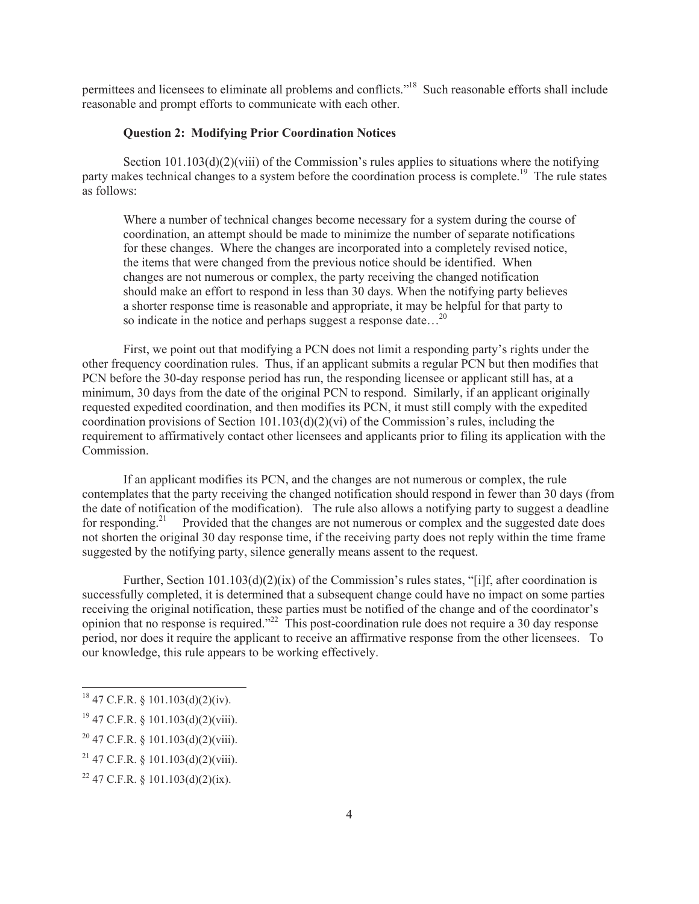permittees and licensees to eliminate all problems and conflicts."<sup>18</sup> Such reasonable efforts shall include reasonable and prompt efforts to communicate with each other.

## **Question 2: Modifying Prior Coordination Notices**

Section 101.103(d)(2)(viii) of the Commission's rules applies to situations where the notifying party makes technical changes to a system before the coordination process is complete.<sup>19</sup> The rule states as follows:

Where a number of technical changes become necessary for a system during the course of coordination, an attempt should be made to minimize the number of separate notifications for these changes. Where the changes are incorporated into a completely revised notice, the items that were changed from the previous notice should be identified. When changes are not numerous or complex, the party receiving the changed notification should make an effort to respond in less than 30 days. When the notifying party believes a shorter response time is reasonable and appropriate, it may be helpful for that party to so indicate in the notice and perhaps suggest a response date...<sup>20</sup>

First, we point out that modifying a PCN does not limit a responding party's rights under the other frequency coordination rules. Thus, if an applicant submits a regular PCN but then modifies that PCN before the 30-day response period has run, the responding licensee or applicant still has, at a minimum, 30 days from the date of the original PCN to respond. Similarly, if an applicant originally requested expedited coordination, and then modifies its PCN, it must still comply with the expedited coordination provisions of Section 101.103(d)(2)(vi) of the Commission's rules, including the requirement to affirmatively contact other licensees and applicants prior to filing its application with the **Commission** 

If an applicant modifies its PCN, and the changes are not numerous or complex, the rule contemplates that the party receiving the changed notification should respond in fewer than 30 days (from the date of notification of the modification). The rule also allows a notifying party to suggest a deadline for responding.<sup>21</sup> Provided that the changes are not numerous or complex and the suggested date does not shorten the original 30 day response time, if the receiving party does not reply within the time frame suggested by the notifying party, silence generally means assent to the request.

Further, Section  $101.103(d)(2)(ix)$  of the Commission's rules states, "[i]f, after coordination is successfully completed, it is determined that a subsequent change could have no impact on some parties receiving the original notification, these parties must be notified of the change and of the coordinator's opinion that no response is required."<sup>22</sup> This post-coordination rule does not require a 30 day response period, nor does it require the applicant to receive an affirmative response from the other licensees. To our knowledge, this rule appears to be working effectively.

 $18$  47 C.F.R. § 101.103(d)(2)(iv).

 $19$  47 C.F.R. § 101.103(d)(2)(viii).

 $20$  47 C.F.R. § 101.103(d)(2)(viii).

 $^{21}$  47 C.F.R. § 101.103(d)(2)(viii).

<sup>&</sup>lt;sup>22</sup> 47 C.F.R. § 101.103(d)(2)(ix).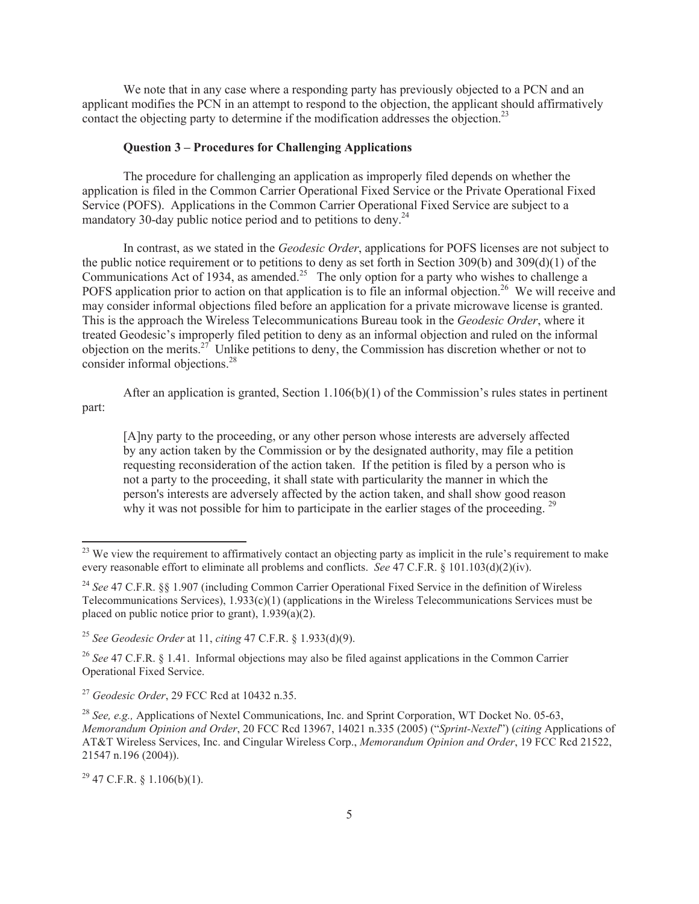We note that in any case where a responding party has previously objected to a PCN and an applicant modifies the PCN in an attempt to respond to the objection, the applicant should affirmatively contact the objecting party to determine if the modification addresses the objection.<sup>23</sup>

## **Question 3 – Procedures for Challenging Applications**

The procedure for challenging an application as improperly filed depends on whether the application is filed in the Common Carrier Operational Fixed Service or the Private Operational Fixed Service (POFS). Applications in the Common Carrier Operational Fixed Service are subject to a mandatory 30-day public notice period and to petitions to deny.<sup>24</sup>

In contrast, as we stated in the *Geodesic Order*, applications for POFS licenses are not subject to the public notice requirement or to petitions to deny as set forth in Section 309(b) and 309(d)(1) of the Communications Act of 1934, as amended.<sup>25</sup> The only option for a party who wishes to challenge a POFS application prior to action on that application is to file an informal objection.<sup>26</sup> We will receive and may consider informal objections filed before an application for a private microwave license is granted. This is the approach the Wireless Telecommunications Bureau took in the *Geodesic Order*, where it treated Geodesic's improperly filed petition to deny as an informal objection and ruled on the informal objection on the merits.<sup>27</sup> Unlike petitions to deny, the Commission has discretion whether or not to consider informal objections.<sup>28</sup>

After an application is granted, Section  $1.106(b)(1)$  of the Commission's rules states in pertinent part:

[A]ny party to the proceeding, or any other person whose interests are adversely affected by any action taken by the Commission or by the designated authority, may file a petition requesting reconsideration of the action taken. If the petition is filed by a person who is not a party to the proceeding, it shall state with particularity the manner in which the person's interests are adversely affected by the action taken, and shall show good reason why it was not possible for him to participate in the earlier stages of the proceeding.<sup>29</sup>

<sup>&</sup>lt;sup>23</sup> We view the requirement to affirmatively contact an objecting party as implicit in the rule's requirement to make every reasonable effort to eliminate all problems and conflicts. *See* 47 C.F.R. § 101.103(d)(2)(iv).

<sup>&</sup>lt;sup>24</sup> See 47 C.F.R. §§ 1.907 (including Common Carrier Operational Fixed Service in the definition of Wireless Telecommunications Services), 1.933(c)(1) (applications in the Wireless Telecommunications Services must be placed on public notice prior to grant), 1.939(a)(2).

<sup>25</sup> *See Geodesic Order* at 11, *citing* 47 C.F.R. § 1.933(d)(9).

<sup>&</sup>lt;sup>26</sup> See 47 C.F.R. § 1.41. Informal objections may also be filed against applications in the Common Carrier Operational Fixed Service.

<sup>27</sup> *Geodesic Order*, 29 FCC Rcd at 10432 n.35.

<sup>28</sup> *See, e.g.,* Applications of Nextel Communications, Inc. and Sprint Corporation, WT Docket No. 05-63, *Memorandum Opinion and Order*, 20 FCC Rcd 13967, 14021 n.335 (2005) ("*Sprint-Nextel*") (*citing* Applications of AT&T Wireless Services, Inc. and Cingular Wireless Corp., *Memorandum Opinion and Order*, 19 FCC Rcd 21522, 21547 n.196 (2004)).

 $^{29}$  47 C.F.R. § 1.106(b)(1).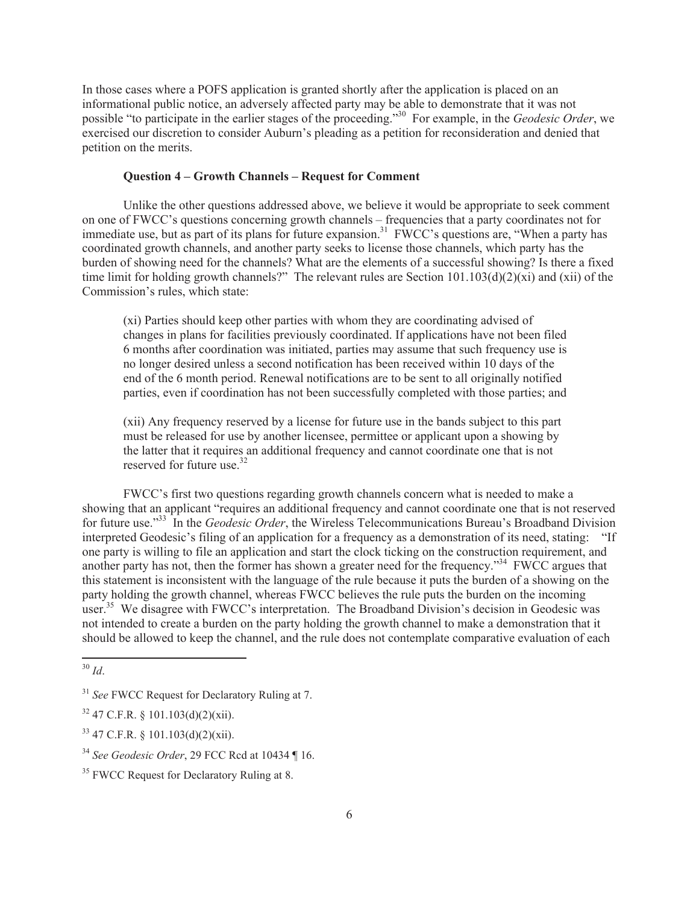In those cases where a POFS application is granted shortly after the application is placed on an informational public notice, an adversely affected party may be able to demonstrate that it was not possible "to participate in the earlier stages of the proceeding."<sup>30</sup> For example, in the *Geodesic Order*, we exercised our discretion to consider Auburn's pleading as a petition for reconsideration and denied that petition on the merits.

## **Question 4 – Growth Channels – Request for Comment**

Unlike the other questions addressed above, we believe it would be appropriate to seek comment on one of FWCC's questions concerning growth channels – frequencies that a party coordinates not for immediate use, but as part of its plans for future expansion.<sup>31</sup> FWCC's questions are, "When a party has coordinated growth channels, and another party seeks to license those channels, which party has the burden of showing need for the channels? What are the elements of a successful showing? Is there a fixed time limit for holding growth channels?" The relevant rules are Section 101.103(d)(2)(xi) and (xii) of the Commission's rules, which state:

(xi) Parties should keep other parties with whom they are coordinating advised of changes in plans for facilities previously coordinated. If applications have not been filed 6 months after coordination was initiated, parties may assume that such frequency use is no longer desired unless a second notification has been received within 10 days of the end of the 6 month period. Renewal notifications are to be sent to all originally notified parties, even if coordination has not been successfully completed with those parties; and

(xii) Any frequency reserved by a license for future use in the bands subject to this part must be released for use by another licensee, permittee or applicant upon a showing by the latter that it requires an additional frequency and cannot coordinate one that is not reserved for future use.<sup>32</sup>

FWCC's first two questions regarding growth channels concern what is needed to make a showing that an applicant "requires an additional frequency and cannot coordinate one that is not reserved for future use."<sup>33</sup> In the *Geodesic Order*, the Wireless Telecommunications Bureau's Broadband Division interpreted Geodesic's filing of an application for a frequency as a demonstration of its need, stating: "If one party is willing to file an application and start the clock ticking on the construction requirement, and another party has not, then the former has shown a greater need for the frequency."<sup>34</sup> FWCC argues that this statement is inconsistent with the language of the rule because it puts the burden of a showing on the party holding the growth channel, whereas FWCC believes the rule puts the burden on the incoming user.<sup>35</sup> We disagree with FWCC's interpretation. The Broadband Division's decision in Geodesic was not intended to create a burden on the party holding the growth channel to make a demonstration that it should be allowed to keep the channel, and the rule does not contemplate comparative evaluation of each

<sup>30</sup> *Id*.

<sup>&</sup>lt;sup>31</sup> *See* FWCC Request for Declaratory Ruling at 7.

 $32$  47 C.F.R. § 101.103(d)(2)(xii).

 $33$  47 C.F.R. § 101.103(d)(2)(xii).

<sup>34</sup> *See Geodesic Order*, 29 FCC Rcd at 10434 ¶ 16.

<sup>&</sup>lt;sup>35</sup> FWCC Request for Declaratory Ruling at 8.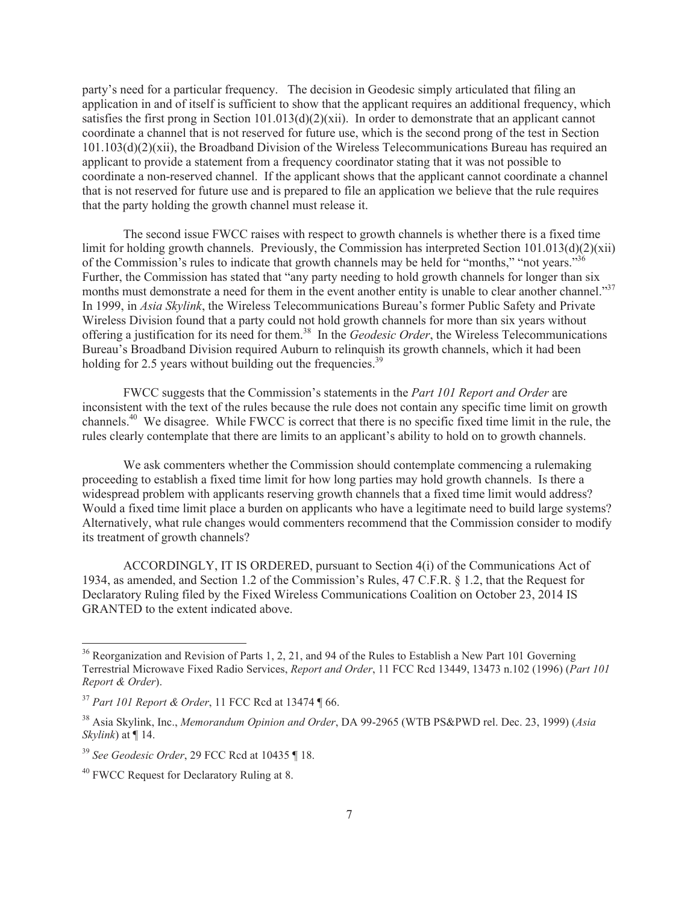party's need for a particular frequency. The decision in Geodesic simply articulated that filing an application in and of itself is sufficient to show that the applicant requires an additional frequency, which satisfies the first prong in Section  $101.013(d)(2)(xii)$ . In order to demonstrate that an applicant cannot coordinate a channel that is not reserved for future use, which is the second prong of the test in Section 101.103(d)(2)(xii), the Broadband Division of the Wireless Telecommunications Bureau has required an applicant to provide a statement from a frequency coordinator stating that it was not possible to coordinate a non-reserved channel. If the applicant shows that the applicant cannot coordinate a channel that is not reserved for future use and is prepared to file an application we believe that the rule requires that the party holding the growth channel must release it.

The second issue FWCC raises with respect to growth channels is whether there is a fixed time limit for holding growth channels. Previously, the Commission has interpreted Section  $101.013(d)(2)(xii)$ of the Commission's rules to indicate that growth channels may be held for "months," "not years."<sup>36</sup> Further, the Commission has stated that "any party needing to hold growth channels for longer than six months must demonstrate a need for them in the event another entity is unable to clear another channel."<sup>37</sup> In 1999, in *Asia Skylink*, the Wireless Telecommunications Bureau's former Public Safety and Private Wireless Division found that a party could not hold growth channels for more than six years without offering a justification for its need for them.<sup>38</sup> In the *Geodesic Order*, the Wireless Telecommunications Bureau's Broadband Division required Auburn to relinquish its growth channels, which it had been holding for 2.5 years without building out the frequencies.<sup>39</sup>

FWCC suggests that the Commission's statements in the *Part 101 Report and Order* are inconsistent with the text of the rules because the rule does not contain any specific time limit on growth channels.<sup>40</sup> We disagree. While FWCC is correct that there is no specific fixed time limit in the rule, the rules clearly contemplate that there are limits to an applicant's ability to hold on to growth channels.

We ask commenters whether the Commission should contemplate commencing a rulemaking proceeding to establish a fixed time limit for how long parties may hold growth channels. Is there a widespread problem with applicants reserving growth channels that a fixed time limit would address? Would a fixed time limit place a burden on applicants who have a legitimate need to build large systems? Alternatively, what rule changes would commenters recommend that the Commission consider to modify its treatment of growth channels?

ACCORDINGLY, IT IS ORDERED, pursuant to Section 4(i) of the Communications Act of 1934, as amended, and Section 1.2 of the Commission's Rules, 47 C.F.R. § 1.2, that the Request for Declaratory Ruling filed by the Fixed Wireless Communications Coalition on October 23, 2014 IS GRANTED to the extent indicated above.

<sup>&</sup>lt;sup>36</sup> Reorganization and Revision of Parts 1, 2, 21, and 94 of the Rules to Establish a New Part 101 Governing Terrestrial Microwave Fixed Radio Services, *Report and Order*, 11 FCC Rcd 13449, 13473 n.102 (1996) (*Part 101 Report & Order*).

<sup>37</sup> *Part 101 Report & Order*, 11 FCC Rcd at 13474 ¶ 66.

<sup>38</sup> Asia Skylink, Inc., *Memorandum Opinion and Order*, DA 99-2965 (WTB PS&PWD rel. Dec. 23, 1999) (*Asia Skylink*) at ¶ 14.

<sup>39</sup> *See Geodesic Order*, 29 FCC Rcd at 10435 ¶ 18.

<sup>&</sup>lt;sup>40</sup> FWCC Request for Declaratory Ruling at 8.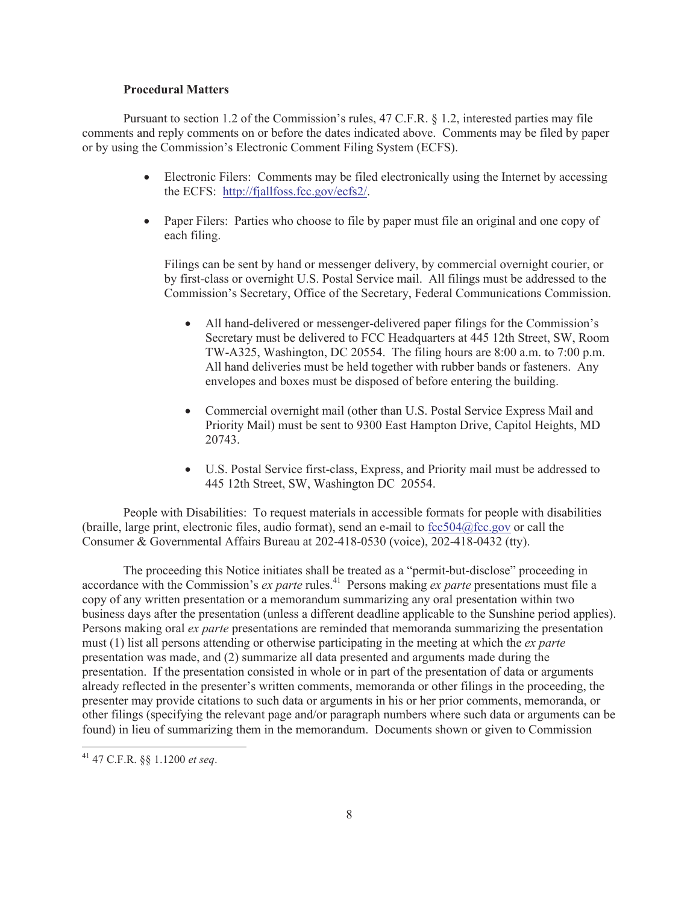#### **Procedural Matters**

Pursuant to section 1.2 of the Commission's rules, 47 C.F.R. § 1.2, interested parties may file comments and reply comments on or before the dates indicated above. Comments may be filed by paper or by using the Commission's Electronic Comment Filing System (ECFS).

- Electronic Filers: Comments may be filed electronically using the Internet by accessing the ECFS: http://fjallfoss.fcc.gov/ecfs2/.
- Paper Filers: Parties who choose to file by paper must file an original and one copy of each filing.

Filings can be sent by hand or messenger delivery, by commercial overnight courier, or by first-class or overnight U.S. Postal Service mail. All filings must be addressed to the Commission's Secretary, Office of the Secretary, Federal Communications Commission.

- · All hand-delivered or messenger-delivered paper filings for the Commission's Secretary must be delivered to FCC Headquarters at 445 12th Street, SW, Room TW-A325, Washington, DC 20554. The filing hours are 8:00 a.m. to 7:00 p.m. All hand deliveries must be held together with rubber bands or fasteners. Any envelopes and boxes must be disposed of before entering the building.
- Commercial overnight mail (other than U.S. Postal Service Express Mail and Priority Mail) must be sent to 9300 East Hampton Drive, Capitol Heights, MD 20743.
- · U.S. Postal Service first-class, Express, and Priority mail must be addressed to 445 12th Street, SW, Washington DC 20554.

People with Disabilities: To request materials in accessible formats for people with disabilities (braille, large print, electronic files, audio format), send an e-mail to fcc504@fcc.gov or call the Consumer & Governmental Affairs Bureau at 202-418-0530 (voice), 202-418-0432 (tty).

The proceeding this Notice initiates shall be treated as a "permit-but-disclose" proceeding in accordance with the Commission's *ex parte* rules.<sup>41</sup> Persons making *ex parte* presentations must file a copy of any written presentation or a memorandum summarizing any oral presentation within two business days after the presentation (unless a different deadline applicable to the Sunshine period applies). Persons making oral *ex parte* presentations are reminded that memoranda summarizing the presentation must (1) list all persons attending or otherwise participating in the meeting at which the *ex parte*  presentation was made, and (2) summarize all data presented and arguments made during the presentation. If the presentation consisted in whole or in part of the presentation of data or arguments already reflected in the presenter's written comments, memoranda or other filings in the proceeding, the presenter may provide citations to such data or arguments in his or her prior comments, memoranda, or other filings (specifying the relevant page and/or paragraph numbers where such data or arguments can be found) in lieu of summarizing them in the memorandum. Documents shown or given to Commission

<sup>41</sup> 47 C.F.R. §§ 1.1200 *et seq*.